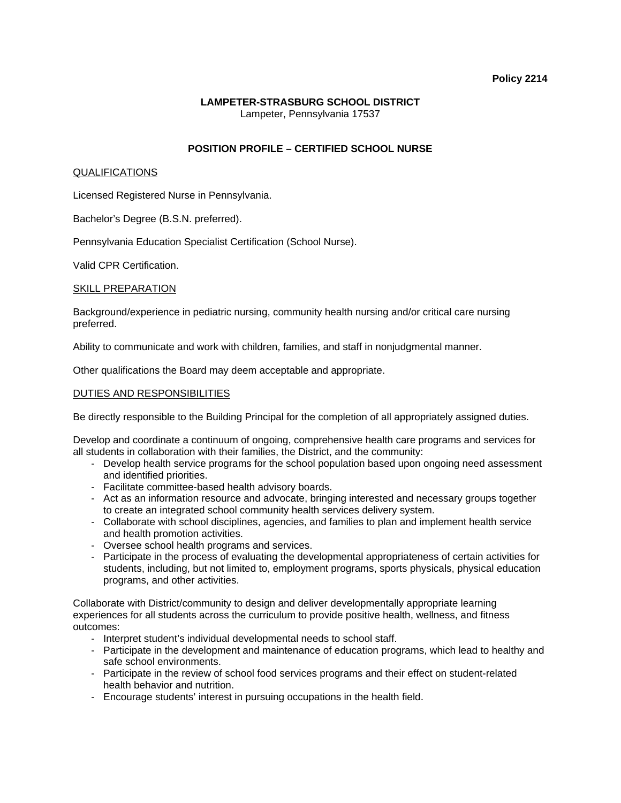#### **Policy 2214**

# **LAMPETER-STRASBURG SCHOOL DISTRICT**  Lampeter, Pennsylvania 17537

# **POSITION PROFILE – CERTIFIED SCHOOL NURSE**

#### QUALIFICATIONS

Licensed Registered Nurse in Pennsylvania.

Bachelor's Degree (B.S.N. preferred).

Pennsylvania Education Specialist Certification (School Nurse).

Valid CPR Certification.

### SKILL PREPARATION

Background/experience in pediatric nursing, community health nursing and/or critical care nursing preferred.

Ability to communicate and work with children, families, and staff in nonjudgmental manner.

Other qualifications the Board may deem acceptable and appropriate.

### DUTIES AND RESPONSIBILITIES

Be directly responsible to the Building Principal for the completion of all appropriately assigned duties.

Develop and coordinate a continuum of ongoing, comprehensive health care programs and services for all students in collaboration with their families, the District, and the community:

- Develop health service programs for the school population based upon ongoing need assessment and identified priorities.
- Facilitate committee-based health advisory boards.
- Act as an information resource and advocate, bringing interested and necessary groups together to create an integrated school community health services delivery system.
- Collaborate with school disciplines, agencies, and families to plan and implement health service and health promotion activities.
- Oversee school health programs and services.
- Participate in the process of evaluating the developmental appropriateness of certain activities for students, including, but not limited to, employment programs, sports physicals, physical education programs, and other activities.

Collaborate with District/community to design and deliver developmentally appropriate learning experiences for all students across the curriculum to provide positive health, wellness, and fitness outcomes:

- Interpret student's individual developmental needs to school staff.
- Participate in the development and maintenance of education programs, which lead to healthy and safe school environments.
- Participate in the review of school food services programs and their effect on student-related health behavior and nutrition.
- Encourage students' interest in pursuing occupations in the health field.